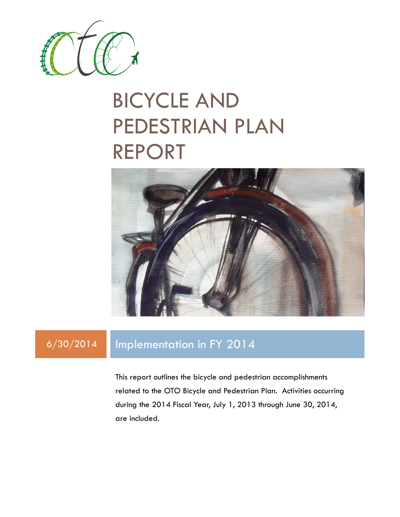

## BICYCLE AND PEDESTRIAN PLAN REPORT



### 6/30/2014 Implementation in FY 2014

This report outlines the bicycle and pedestrian accomplishments related to the OTO Bicycle and Pedestrian Plan. Activities occurring during the 2014 Fiscal Year, July 1, 2013 through June 30, 2014, are included.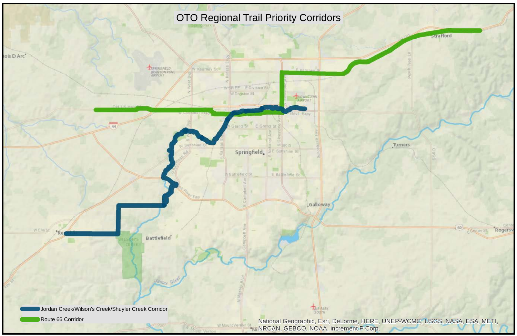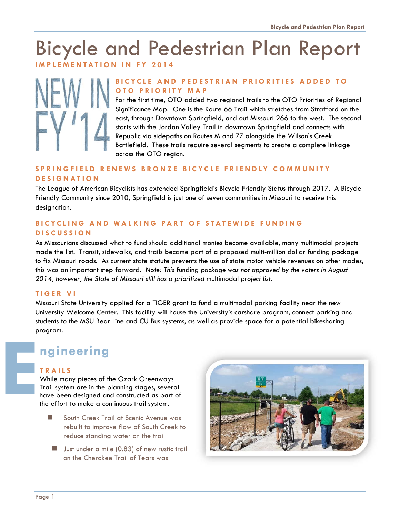# Bicycle and Pedestrian Plan Report

**IMPLEMENTATION IN FY 2014** 



### **BICYCLE AND PEDESTRIAN PRIORITIES ADDED TO OTO PRIORITY MAP**

For the first time, OTO added two regional trails to the OTO Priorities of Regional Significance Map. One is the Route 66 Trail which stretches from Strafford on the east, through Downtown Springfield, and out Missouri 266 to the west. The second starts with the Jordan Valley Trail in downtown Springfield and connects with Republic via sidepaths on Routes M and ZZ alongside the Wilson's Creek Battlefield. These trails require several segments to create a complete linkage across the OTO region.

### **SPRINGFIELD RENEWS BRONZE BICYCLE FRIENDLY COMMUNITY DESIGNATION**

The League of American Bicyclists has extended Springfield's Bicycle Friendly Status through 2017. A Bicycle Friendly Community since 2010, Springfield is just one of seven communities in Missouri to receive this designation.

### **BICYCLING AND WALKING PART OF STATEWIDE FUNDING DISCUSSION**

As Missourians discussed what to fund should additional monies become available, many multimodal projects made the list. Transit, sidewalks, and trails became part of a proposed multi-million dollar funding package to fix Missouri roads. As current state statute prevents the use of state motor vehicle revenues on other modes, this was an important step forward. *Note: This* funding *package was not approved by the voters in August 2014, however, the State of Missouri still has a prioritized* multimodal *project list.* 

### **TIGER VI**

Missouri State University applied for a TIGER grant to fund a multimodal parking facility near the new University Welcome Center. This facility will house the University's carshare program, connect parking and students to the MSU Bear Line and CU Bus systems, as well as provide space for a potential bikesharing program. **E**

### **ngineering**

### **TRAILS**

While many pieces of the Ozark Greenways Trail system are in the planning stages, several have been designed and constructed as part of the effort to make a continuous trail system.

- South Creek Trail at Scenic Avenue was rebuilt to improve flow of South Creek to reduce standing water on the trail
	- **Just under a mile (0.83) of new rustic trail** on the Cherokee Trail of Tears was

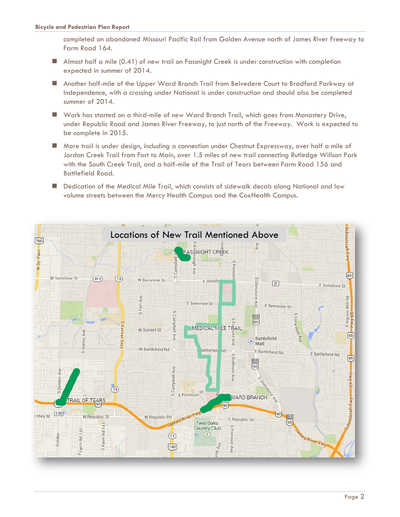completed on abandoned Missouri Pacific Rail from Golden Avenue north of James River Freeway to Farm Road 164.

- Almost half a mile (0.41) of new trail on Fassnight Creek is under construction with completion expected in summer of 2014.
- Another half-mile of the Upper Ward Branch Trail from Belvedere Court to Bradford Parkway at Independence, with a crossing under National is under construction and should also be completed summer of 2014.
- Work has started on a third-mile of new Ward Branch Trail, which goes from Monastery Drive, under Republic Road and James River Freeway, to just north of the Freeway. Work is expected to be complete in 2015.
- More trail is under design, including a connection under Chestnut Expressway, over half a mile of Jordan Creek Trail from Fort to Main, over 1.5 miles of new trail connecting Rutledge Willson Park with the South Creek Trail, and a half-mile of the Trail of Tears between Farm Road 156 and Battlefield Road.
- **Dedication of the Medical Mile Trail, which consists of sidewalk decals along National and low** volume streets between the Mercy Health Campus and the CoxHealth Campus.

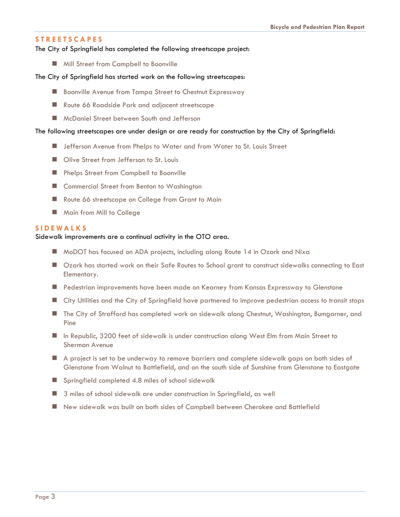### **STREETSCAPES**

#### The City of Springfield has completed the following streetscape project:

**Mill Street from Campbell to Boonville** 

#### The City of Springfield has started work on the following streetscapes:

- **B** Boonville Avenue from Tampa Street to Chestnut Expressway
- Route 66 Roadside Park and adjacent streetscape
- **McDaniel Street between South and Jefferson**

#### The following streetscapes are under design or are ready for construction by the City of Springfield:

- **I** Jefferson Avenue from Phelps to Water and from Water to St. Louis Street
- Olive Street from Jefferson to St. Louis
- **Phelps Street from Campbell to Boonville**
- Commercial Street from Benton to Washington
- Route 66 streetscape on College from Grant to Main
- **Main from Mill to College**

### **SIDEWALKS**

### Sidewalk improvements are a continual activity in the OTO area.

- MoDOT has focused on ADA projects, including along Route 14 in Ozark and Nixa
- Ozark has started work on their Safe Routes to School grant to construct sidewalks connecting to East Elementary.
- Pedestrian improvements have been made on Kearney from Kansas Expressway to Glenstone
- City Utilities and the City of Springfield have partnered to improve pedestrian access to transit stops
- **The City of Strafford has completed work on sidewalk along Chestnut, Washington, Bumgarner, and** Pine
- In Republic, 3200 feet of sidewalk is under construction along West Elm from Main Street to Sherman Avenue
- A project is set to be underway to remove barriers and complete sidewalk gaps on both sides of Glenstone from Walnut to Battlefield, and on the south side of Sunshine from Glenstone to Eastgate
- **Springfield completed 4.8 miles of school sidewalk**
- 3 miles of school sidewalk are under construction in Springfield, as well
- New sidewalk was built on both sides of Campbell between Cherokee and Battlefield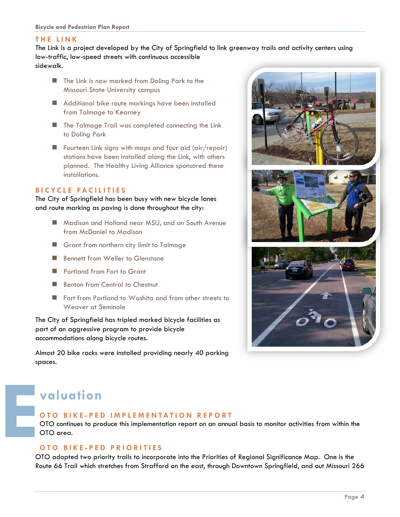#### **THE LINK**

The Link is a project developed by the City of Springfield to link greenway trails and activity centers using low-traffic, low-speed streets with continuous accessible sidewalk.

- The Link is now marked from Doling Park to the Missouri State University campus
- Additional bike route markings have been installed from Talmage to Kearney
- **The Talmage Trail was completed connecting the Link** to Doling Park
- Fourteen Link signs with maps and four aid (air/repair) stations have been installed along the Link, with others planned. The Healthy Living Alliance sponsored these installations.

### **BICYCLE FACILITIES**

The City of Springfield has been busy with new bicycle lanes and route marking as paving is done throughout the city:

- **Madison and Holland near MSU, and on South Avenue** from McDaniel to Madison
- Grant from northern city limit to Talmage
- Bennett from Weller to Glenstone
- Portland from Fort to Grant
- Benton from Central to Chestnut
- **Fort from Portland to Washita and from other streets to** Weaver at Seminole

The City of Springfield has tripled marked bicycle facilities as part of an aggressive program to provide bicycle accommodations along bicycle routes.

Almost 20 bike racks were installed providing nearly 40 parking spaces.



### **valuation**

### **OTO BIKE-PED IMPLEMENTATION REPORT**

OTO continues to produce this implementation report on an annual basis to monitor activities from within the OTO area.

# **OTO BIKE-PED PRIORITIES E**

OTO adopted two priority trails to incorporate into the Priorities of Regional Significance Map. One is the Route 66 Trail which stretches from Strafford on the east, through Downtown Springfield, and out Missouri 266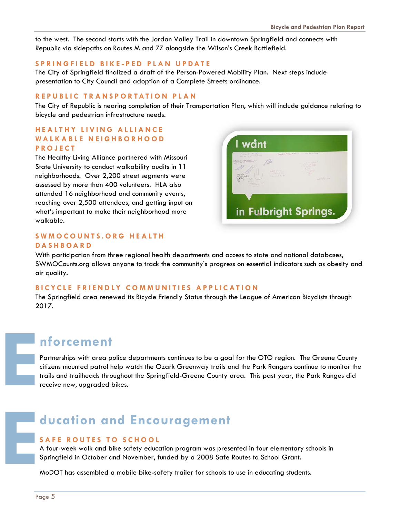to the west. The second starts with the Jordan Valley Trail in downtown Springfield and connects with Republic via sidepaths on Routes M and ZZ alongside the Wilson's Creek Battlefield.

### **SPRINGFIELD BIKE-PED PLAN UPDATE**

The City of Springfield finalized a draft of the Person-Powered Mobility Plan. Next steps include presentation to City Council and adoption of a Complete Streets ordinance.

#### **REPUBLIC TRANSPORTATION PLAN**

The City of Republic is nearing completion of their Transportation Plan, which will include guidance relating to bicycle and pedestrian infrastructure needs.

### **HEALTHY LIVING ALLIANCE WALKABLE NEIGHBORHOOD PROJECT**

The Healthy Living Alliance partnered with Missouri State University to conduct walkability audits in 11 neighborhoods. Over 2,200 street segments were assessed by more than 400 volunteers. HLA also attended 16 neighborhood and community events, reaching over 2,500 attendees, and getting input on what's important to make their neighborhood more walkable.

### **SWMOCOUNTS.ORG HEALTH DASHBOARD**

I want in Fulbright Springs.

With participation from three regional health departments and access to state and national databases, SWMOCounts.org allows anyone to track the community's progress on essential indicators such as obesity and air quality.

### **BICYCLE FRIENDLY COMMUNITIES APPLICATION**

The Springfield area renewed its Bicycle Friendly Status through the League of American Bicyclists through 2017.

### **nforcement**

Partnerships with area police departments continues to be a goal for the OTO region. The Greene County citizens mounted patrol help watch the Ozark Greenway trails and the Park Rangers continue to monitor the trails and trailheads throughout the Springfield-Greene County area. This past year, the Park Ranges did receive new, upgraded bikes. **E**

### **ducation and Encouragement**

### **SAFE ROUTES TO SCHOOL**

A four-week walk and bike safety education program was presented in four elementary schools in Springfield in October and November, funded by a 2008 Safe Routes to School Grant.

MoDOT has assembled a mobile bike-safety trailer for schools to use in educating students.

**E**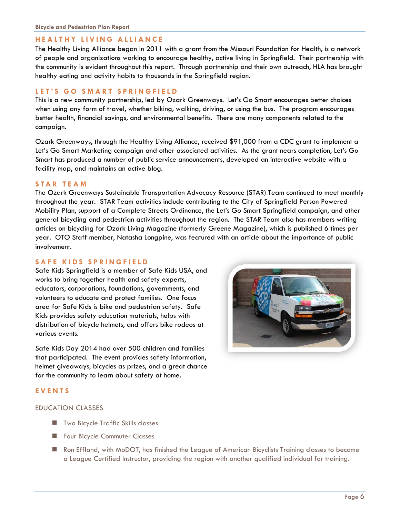### **HEALTHY LIVING ALLIANCE**

The Healthy Living Alliance began in 2011 with a grant from the Missouri Foundation for Health, is a network of people and organizations working to encourage healthy, active living in Springfield. Their partnership with the community is evident throughout this report. Through partnership and their own outreach, HLA has brought healthy eating and activity habits to thousands in the Springfield region.

### **LET'S GO SMART SPRINGFIELD**

This is a new community partnership, led by Ozark Greenways. Let's Go Smart encourages better choices when using any form of travel, whether biking, walking, driving, or using the bus. The program encourages better health, financial savings, and environmental benefits. There are many components related to the campaign.

Ozark Greenways, through the Healthy Living Alliance, received \$91,000 from a CDC grant to implement a Let's Go Smart Marketing campaign and other associated activities. As the grant nears completion, Let's Go Smart has produced a number of public service announcements, developed an interactive website with a facility map, and maintains an active blog.

### **STAR TEAM**

The Ozark Greenways Sustainable Transportation Advocacy Resource (STAR) Team continued to meet monthly throughout the year. STAR Team activities include contributing to the City of Springfield Person Powered Mobility Plan, support of a Complete Streets Ordinance, the Let's Go Smart Springfield campaign, and other general bicycling and pedestrian activities throughout the region. The STAR Team also has members writing articles on bicycling for Ozark Living Magazine (formerly Greene Magazine), which is published 6 times per year. OTO Staff member, Natasha Longpine, was featured with an article about the importance of public involvement.

#### **SAFE KIDS SPRINGFIELD**

Safe Kids Springfield is a member of Safe Kids USA, and works to bring together health and safety experts, educators, corporations, foundations, governments, and volunteers to educate and protect families. One focus area for Safe Kids is bike and pedestrian safety. Safe Kids provides safety education materials, helps with distribution of bicycle helmets, and offers bike rodeos at various events.

Safe Kids Day 2014 had over 500 children and families that participated. The event provides safety information, helmet giveaways, bicycles as prizes, and a great chance for the community to learn about safety at home.

### **EVENTS**

#### EDUCATION CLASSES

- **Two Bicycle Traffic Skills classes**
- **Four Bicycle Commuter Classes**
- Ron Effland, with MoDOT, has finished the League of American Bicyclists Training classes to become a League Certified Instructor, providing the region with another qualified individual for training.

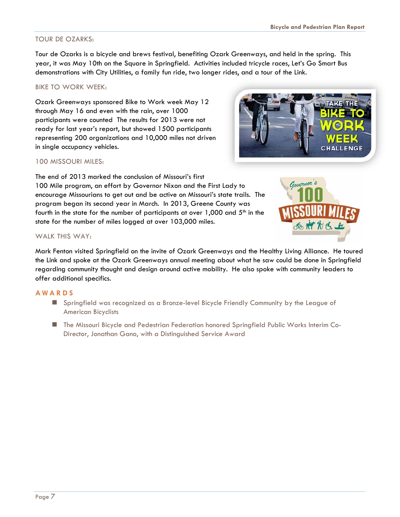### TOUR DE OZARKS:

Tour de Ozarks is a bicycle and brews festival, benefiting Ozark Greenways, and held in the spring. This year, it was May 10th on the Square in Springfield. Activities included tricycle races, Let's Go Smart Bus demonstrations with City Utilities, a family fun ride, two longer rides, and a tour of the Link.

### BIKE TO WORK WEEK:

Ozark Greenways sponsored Bike to Work week May 12 through May 16 and even with the rain, over 1000 participants were counted The results for 2013 were not ready for last year's report, but showed 1500 participants representing 200 organizations and 10,000 miles not driven in single occupancy vehicles.



### 100 MISSOURI MILES:

The end of 2013 marked the conclusion of Missouri's first 100 Mile program, an effort by Governor Nixon and the First Lady to encourage Missourians to get out and be active on Missouri's state trails. The program began its second year in March. In 2013, Greene County was fourth in the state for the number of participants at over  $1,000$  and  $5<sup>th</sup>$  in the state for the number of miles logged at over 103,000 miles.



### WALK THIS WAY:

Mark Fenton visited Springfield on the invite of Ozark Greenways and the Healthy Living Alliance. He toured the Link and spoke at the Ozark Greenways annual meeting about what he saw could be done in Springfield regarding community thought and design around active mobility. He also spoke with community leaders to offer additional specifics.

#### **AWARDS**

- Springfield was recognized as a Bronze-level Bicycle Friendly Community by the League of American Bicyclists
- The Missouri Bicycle and Pedestrian Federation honored Springfield Public Works Interim Co-Director, Jonathan Gano, with a Distinguished Service Award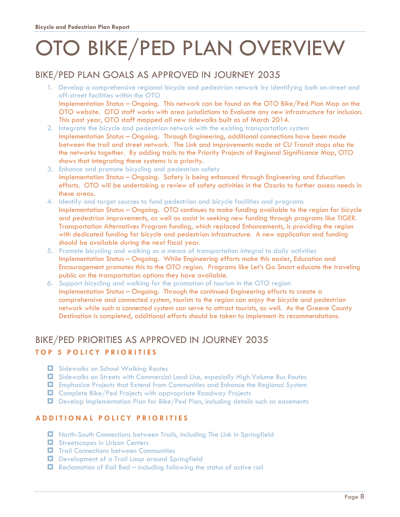# OTO BIKE/PED PLAN OVERVIEW

### BIKE/PED PLAN GOALS AS APPROVED IN JOURNEY 2035

- 1. Develop a comprehensive regional bicycle and pedestrian network by identifying both on-street and off-street facilities within the OTO Implementation Status – Ongoing. This network can be found on the OTO Bike/Ped Plan Map on the OTO website. OTO staff works with area jurisdictions to Evaluate any new infrastructure for inclusion. This past year, OTO staff mapped all new sidewalks built as of March 2014.
- 2. Integrate the bicycle and pedestrian network with the existing transportation system Implementation Status – Ongoing. Through Engineering, additional connections have been made between the trail and street network. The Link and improvements made at CU Transit stops also tie the networks together. By adding trails to the Priority Projects of Regional Significance Map, OTO shows that integrating these systems is a priority.
- 3. Enhance and promote bicycling and pedestrian safety Implementation Status – Ongoing. Safety is being enhanced through Engineering and Education efforts. OTO will be undertaking a review of safety activities in the Ozarks to further assess needs in these areas.
- 4. Identify and target sources to fund pedestrian and bicycle facilities and programs Implementation Status – Ongoing. OTO continues to make funding available to the region for bicycle and pedestrian improvements, as well as assist in seeking new funding through programs like TIGER. Transportation Alternatives Program funding, which replaced Enhancements, is providing the region with dedicated funding for bicycle and pedestrian infrastructure. A new application and funding should be available during the next fiscal year.
- 5. Promote bicycling and walking as a means of transportation integral to daily activities Implementation Status – Ongoing. While Engineering efforts make this easier, Education and Encouragement promotes this to the OTO region. Programs like Let's Go Smart educate the traveling public on the transportation options they have available.
- 6. Support bicycling and walking for the promotion of tourism in the OTO region Implementation Status – Ongoing. Through the continued Engineering efforts to create a comprehensive and connected system, tourists to the region can enjoy the bicycle and pedestrian network while such a connected system can serve to attract tourists, as well. As the Greene County Destination is completed, additional efforts should be taken to implement its recommendations.

### BIKE/PED PRIORITIES AS APPROVED IN JOURNEY 2035

### **TOP 5 POLICY PRIORITIES**

- $\Box$  Sidewalks on School Walking Routes
- Sidewalks on Streets with Commercial Land Use, especially High Volume Bus Routes
- Emphasize Projects that Extend from Communities and Enhance the Regional System
- Complete Bike/Ped Projects with appropriate Roadway Projects
- Develop Implementation Plan for Bike/Ped Plan, including details such as easements

### **ADDITIONAL POLICY PRIORITIES**

- North-South Connections between Trails, including The Link in Springfield
- **E** Streetscapes in Urban Centers
- **T** Trail Connections between Communities
- Development of a Trail Loop around Springfield
- $\Box$  Reclamation of Rail Bed including following the status of active rail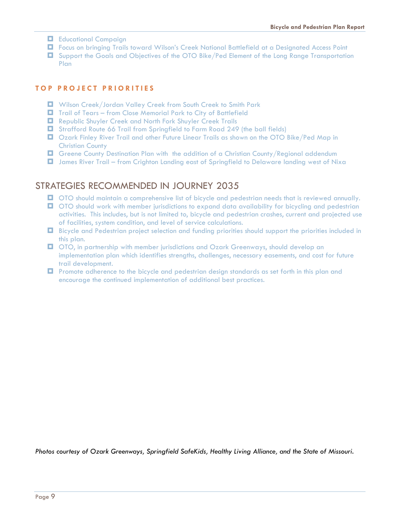- **Educational Campaign**
- Focus on bringing Trails toward Wilson's Creek National Battlefield at a Designated Access Point
- Support the Goals and Objectives of the OTO Bike/Ped Element of the Long Range Transportation Plan

### **TOP PROJECT PRIORITIES**

- Wilson Creek/Jordan Valley Creek from South Creek to Smith Park
- Trail of Tears from Close Memorial Park to City of Battlefield
- Republic Shuyler Creek and North Fork Shuyler Creek Trails
- Strafford Route 66 Trail from Springfield to Farm Road 249 (the ball fields)
- Ozark Finley River Trail and other Future Linear Trails as shown on the OTO Bike/Ped Map in Christian County
- $\Box$  Greene County Destination Plan with the addition of a Christian County/Regional addendum
- James River Trail from Crighton Landing east of Springfield to Delaware landing west of Nixa

### STRATEGIES RECOMMENDED IN JOURNEY 2035

- OTO should maintain a comprehensive list of bicycle and pedestrian needs that is reviewed annually.
- **OTO** should work with member jurisdictions to expand data availability for bicycling and pedestrian activities. This includes, but is not limited to, bicycle and pedestrian crashes, current and projected use of facilities, system condition, and level of service calculations.
- Bicycle and Pedestrian project selection and funding priorities should support the priorities included in this plan.
- OTO, in partnership with member jurisdictions and Ozark Greenways, should develop an implementation plan which identifies strengths, challenges, necessary easements, and cost for future trail development.
- **Promote adherence to the bicycle and pedestrian design standards as set forth in this plan and** encourage the continued implementation of additional best practices.

*Photos courtesy of Ozark Greenways, Springfield SafeKids, Healthy Living Alliance, and the State of Missouri.*